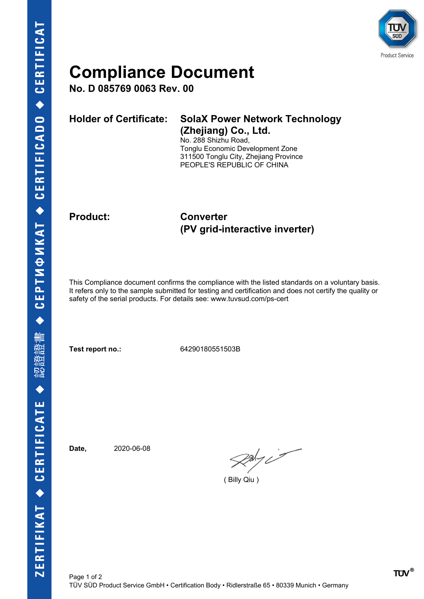

## **Compliance Document**

**No. D 085769 0063 Rev. 00**

| Holder of Certificate: SolaX Power Network Technology                                                                                                                                                                                                                                                                                                      |
|------------------------------------------------------------------------------------------------------------------------------------------------------------------------------------------------------------------------------------------------------------------------------------------------------------------------------------------------------------|
| (Zhejiang) Co., Ltd.<br>$\mathbf{M}$ $\mathbf{A}$ $\mathbf{A}$ $\mathbf{A}$ $\mathbf{A}$ $\mathbf{A}$ $\mathbf{A}$ $\mathbf{A}$ $\mathbf{A}$ $\mathbf{A}$ $\mathbf{A}$ $\mathbf{A}$ $\mathbf{A}$ $\mathbf{A}$ $\mathbf{A}$ $\mathbf{A}$ $\mathbf{A}$ $\mathbf{A}$ $\mathbf{A}$ $\mathbf{A}$ $\mathbf{A}$ $\mathbf{A}$ $\mathbf{A}$ $\mathbf{A}$ $\mathbf{$ |

No. 288 Shizhu Road, Tonglu Economic Development Zone 311500 Tonglu City, Zhejiang Province PEOPLE'S REPUBLIC OF CHINA

### **Product: Converter (PV grid-interactive inverter)**

This Compliance document confirms the compliance with the listed standards on a voluntary basis. It refers only to the sample submitted for testing and certification and does not certify the quality or safety of the serial products. For details see: www.tuvsud.com/ps-cert

**Test report no.:** 64290180551503B

**Date,** 2020-06-08

 $\mathcal{R}$ aly i

( Billy Qiu )